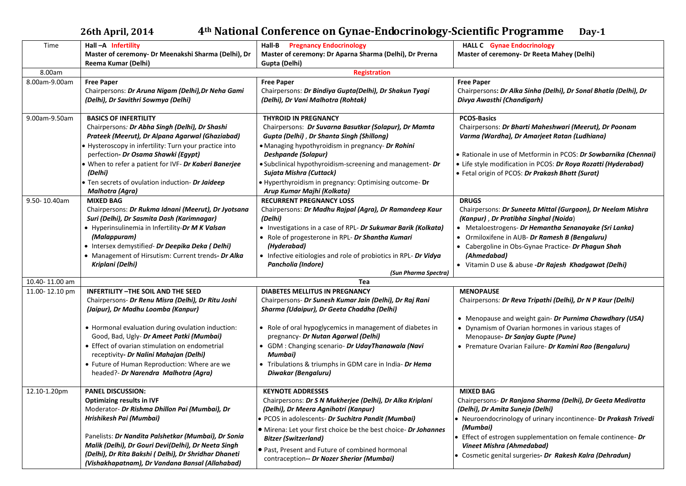**26th April, 2014 4th National Conference on Gynae-Endocrinology-Scientific Programme Day-1** 

| Time           | Hall-A Infertility                                     | <b>Pregnancy Endocrinology</b><br>Hall-B                               | <b>HALL C</b> Gynae Endocrinology                                |  |  |
|----------------|--------------------------------------------------------|------------------------------------------------------------------------|------------------------------------------------------------------|--|--|
|                | Master of ceremony- Dr Meenakshi Sharma (Delhi), Dr    | Master of ceremony: Dr Aparna Sharma (Delhi), Dr Prerna                | Master of ceremony- Dr Reeta Mahey (Delhi)                       |  |  |
|                | Reema Kumar (Delhi)                                    | Gupta (Delhi)                                                          |                                                                  |  |  |
| 8.00am         | <b>Registration</b>                                    |                                                                        |                                                                  |  |  |
| 8.00am-9.00am  | <b>Free Paper</b>                                      | <b>Free Paper</b>                                                      | <b>Free Paper</b>                                                |  |  |
|                | Chairpersons: Dr Aruna Nigam (Delhi), Dr Neha Gami     | Chairpersons: Dr Bindiya Gupta(Delhi), Dr Shakun Tyagi                 | Chairpersons: Dr Alka Sinha (Delhi), Dr Sonal Bhatla (Delhi), Dr |  |  |
|                | (Delhi), Dr Savithri Sowmya (Delhi)                    | (Delhi), Dr Vani Malhotra (Rohtak)                                     | Divya Awasthi (Chandigarh)                                       |  |  |
|                |                                                        |                                                                        |                                                                  |  |  |
| 9.00am-9.50am  | <b>BASICS OF INFERTILITY</b>                           | <b>THYROID IN PREGNANCY</b>                                            | <b>PCOS-Basics</b>                                               |  |  |
|                | Chairpersons: Dr Abha Singh (Delhi), Dr Shashi         | Chairpersons: Dr Suvarna Basutkar (Solapur), Dr Mamta                  | Chairpersons: Dr Bharti Maheshwari (Meerut), Dr Poonam           |  |  |
|                | Prateek (Meerut), Dr Alpana Agarwal (Ghaziabad)        | Gupta (Delhi), Dr Shanta Singh (Shillong)                              | Varma (Wardha), Dr Amarjeet Ratan (Ludhiana)                     |  |  |
|                | • Hysteroscopy in infertility: Turn your practice into | • Managing hypothyroidism in pregnancy- Dr Rohini                      |                                                                  |  |  |
|                | perfection- Dr Osama Shawki (Egypt)                    | Deshpande (Solapur)                                                    | • Rationale in use of Metformin in PCOS: Dr Sowbarnika (Chennai) |  |  |
|                | • When to refer a patient for IVF- Dr Kaberi Banerjee  | · Subclinical hypothyroidism-screening and management- Dr              | • Life style modification in PCOS: Dr Roya Rozatti (Hyderabad)   |  |  |
|                | (Delhi)                                                | Sujata Mishra (Cuttack)                                                | • Fetal origin of PCOS: Dr Prakash Bhatt (Surat)                 |  |  |
|                | • Ten secrets of ovulation induction- Dr Jaideep       | . Hyperthyroidism in pregnancy: Optimising outcome- Dr                 |                                                                  |  |  |
|                | Malhotra (Agra)                                        | Arup Kumar Majhi (Kolkata)                                             |                                                                  |  |  |
| 9.50-10.40am   | <b>MIXED BAG</b>                                       | <b>RECURRENT PREGNANCY LOSS</b>                                        | <b>DRUGS</b>                                                     |  |  |
|                | Chairpersons: Dr Rukma Idnani (Meerut), Dr Jyotsana    | Chairpersons: Dr Madhu Rajpal (Agra), Dr Ramandeep Kaur                | Chairpersons: Dr Suneeta Mittal (Gurgaon), Dr Neelam Mishra      |  |  |
|                | Suri (Delhi), Dr Sasmita Dash (Karimnagar)             | (Delhi)                                                                | (Kanpur), Dr Pratibha Singhal (Noida)                            |  |  |
|                | • Hyperinsulinemia in Infertility-Dr M K Valsan        | • Investigations in a case of RPL- Dr Sukumar Barik (Kolkata)          | • Metaloestrogens- Dr Hemantha Senanayake (Sri Lanka)            |  |  |
|                | (Malappuram)                                           | • Role of progesterone in RPL- Dr Shantha Kumari                       | • Ormiloxifene in AUB- Dr Ramesh B (Bengaluru)                   |  |  |
|                | · Intersex demystified- Dr Deepika Deka (Delhi)        | (Hyderabad)                                                            | • Cabergoline in Obs-Gynae Practice- Dr Phagun Shah              |  |  |
|                | • Management of Hirsutism: Current trends- Dr Alka     | • Infective eitiologies and role of probiotics in RPL- Dr Vidya        | (Ahmedabad)                                                      |  |  |
|                | Kriplani (Delhi)                                       | Pancholia (Indore)                                                     | • Vitamin D use & abuse -Dr Rajesh Khadgawat (Delhi)             |  |  |
|                |                                                        | (Sun Pharma Spectra)                                                   |                                                                  |  |  |
| 10.40-11.00 am |                                                        | Tea                                                                    |                                                                  |  |  |
| 11.00-12.10 pm | <b>INFERTILITY - THE SOIL AND THE SEED</b>             | <b>DIABETES MELLITUS IN PREGNANCY</b>                                  | <b>MENOPAUSE</b>                                                 |  |  |
|                | Chairpersons- Dr Renu Misra (Delhi), Dr Ritu Joshi     | Chairpersons- Dr Sunesh Kumar Jain (Delhi), Dr Raj Rani                | Chairpersons: Dr Reva Tripathi (Delhi), Dr N P Kaur (Delhi)      |  |  |
|                | (Jaipur), Dr Madhu Loomba (Kanpur)                     | Sharma (Udaipur), Dr Geeta Chaddha (Delhi)                             |                                                                  |  |  |
|                |                                                        |                                                                        | • Menopause and weight gain- Dr Purnima Chawdhary (USA)          |  |  |
|                | • Hormonal evaluation during ovulation induction:      | • Role of oral hypoglycemics in management of diabetes in              | • Dynamism of Ovarian hormones in various stages of              |  |  |
|                | Good, Bad, Ugly- Dr Ameet Patki (Mumbai)               | pregnancy- Dr Nutan Agarwal (Delhi)                                    | Menopause- Dr Sanjay Gupte (Pune)                                |  |  |
|                | • Effect of ovarian stimulation on endometrial         | • GDM : Changing scenario- Dr UdayThanawala (Navi                      | • Premature Ovarian Failure- Dr Kamini Rao (Bengaluru)           |  |  |
|                | receptivity- Dr Nalini Mahajan (Delhi)                 | Mumbai)                                                                |                                                                  |  |  |
|                | • Future of Human Reproduction: Where are we           | • Tribulations & triumphs in GDM care in India- Dr Hema                |                                                                  |  |  |
|                | headed?- Dr Narendra Malhotra (Agra)                   | Diwakar (Bengaluru)                                                    |                                                                  |  |  |
|                |                                                        |                                                                        |                                                                  |  |  |
| 12.10-1.20pm   | <b>PANEL DISCUSSION:</b>                               | <b>KEYNOTE ADDRESSES</b>                                               | <b>MIXED BAG</b>                                                 |  |  |
|                | <b>Optimizing results in IVF</b>                       | Chairpersons: Dr S N Mukherjee (Delhi), Dr Alka Kriplani               | Chairpersons- Dr Ranjana Sharma (Delhi), Dr Geeta Mediratta      |  |  |
|                | Moderator- Dr Rishma Dhillon Pai (Mumbai), Dr          | (Delhi), Dr Meera Agnihotri (Kanpur)                                   | (Delhi), Dr Amita Suneja (Delhi)                                 |  |  |
|                | Hrishikesh Pai (Mumbai)                                | · PCOS in adolescents- Dr Suchitra Pandit (Mumbai)                     | • Neuroendocrinology of urinary incontinence- Dr Prakash Trivedi |  |  |
|                |                                                        | <b>.</b> Mirena: Let your first choice be the best choice- Dr Johannes | (Mumbai)                                                         |  |  |
|                | Panelists: Dr Nandita Palshetkar (Mumbai), Dr Sonia    | <b>Bitzer (Switzerland)</b>                                            | • Effect of estrogen supplementation on female continence- Dr    |  |  |
|                | Malik (Delhi), Dr Gouri Devi(Delhi), Dr Neeta Singh    |                                                                        | Vineet Mishra (Ahmedabad)                                        |  |  |
|                | (Delhi), Dr Rita Bakshi (Delhi), Dr Shridhar Dhaneti   | • Past, Present and Future of combined hormonal                        | • Cosmetic genital surgeries- Dr Rakesh Kalra (Dehradun)         |  |  |
|                | (Vishakhapatnam), Dr Vandana Bansal (Allahabad)        | contraception-- Dr Nozer Sheriar (Mumbai)                              |                                                                  |  |  |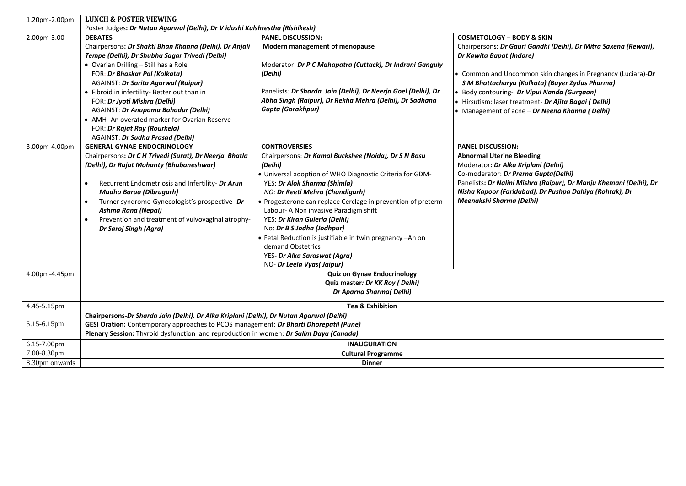| 1.20pm-2.00pm  | <b>LUNCH &amp; POSTER VIEWING</b>                                                       |                                                               |                                                                    |  |  |
|----------------|-----------------------------------------------------------------------------------------|---------------------------------------------------------------|--------------------------------------------------------------------|--|--|
|                | Poster Judges: Dr Nutan Agarwal (Delhi), Dr V idushi Kulshrestha (Rishikesh)            |                                                               |                                                                    |  |  |
| 2.00pm-3.00    | <b>DEBATES</b>                                                                          | <b>PANEL DISCUSSION:</b>                                      | <b>COSMETOLOGY - BODY &amp; SKIN</b>                               |  |  |
|                | Chairpersons: Dr Shakti Bhan Khanna (Delhi), Dr Anjali                                  | Modern management of menopause                                | Chairpersons: Dr Gauri Gandhi (Delhi), Dr Mitra Saxena (Rewari),   |  |  |
|                | Tempe (Delhi), Dr Shubha Sagar Trivedi (Delhi)                                          |                                                               | Dr Kawita Bapat (Indore)                                           |  |  |
|                | • Ovarian Drilling - Still has a Role                                                   | Moderator: Dr P C Mahapatra (Cuttack), Dr Indrani Ganguly     |                                                                    |  |  |
|                | FOR: Dr Bhaskar Pal (Kolkata)                                                           | (Delhi)                                                       | • Common and Uncommon skin changes in Pregnancy (Luciara)-Dr       |  |  |
|                | AGAINST: Dr Sarita Agarwal (Raipur)                                                     |                                                               | S M Bhattacharya (Kolkata) (Bayer Zydus Pharma)                    |  |  |
|                | • Fibroid in infertility- Better out than in                                            | Panelists: Dr Sharda Jain (Delhi), Dr Neerja Goel (Delhi), Dr | • Body contouring- Dr Vipul Nanda (Gurgaon)                        |  |  |
|                | FOR: Dr Jyoti Mishra (Delhi)                                                            | Abha Singh (Raipur), Dr Rekha Mehra (Delhi), Dr Sadhana       | · Hirsutism: laser treatment- Dr Ajita Bagai ( Delhi)              |  |  |
|                | AGAINST: Dr Anupama Bahadur (Delhi)                                                     | <b>Gupta (Gorakhpur)</b>                                      | • Management of acne - Dr Neena Khanna (Delhi)                     |  |  |
|                | • AMH- An overated marker for Ovarian Reserve                                           |                                                               |                                                                    |  |  |
|                | FOR: Dr Rajat Ray (Rourkela)                                                            |                                                               |                                                                    |  |  |
|                | AGAINST: Dr Sudha Prasad (Delhi)                                                        |                                                               |                                                                    |  |  |
| 3.00pm-4.00pm  | <b>GENERAL GYNAE-ENDOCRINOLOGY</b>                                                      | <b>CONTROVERSIES</b>                                          | <b>PANEL DISCUSSION:</b>                                           |  |  |
|                | Chairpersons: Dr C H Trivedi (Surat), Dr Neerja Bhatla                                  | Chairpersons: Dr Kamal Buckshee (Noida), Dr S N Basu          | <b>Abnormal Uterine Bleeding</b>                                   |  |  |
|                | (Delhi), Dr Rajat Mohanty (Bhubaneshwar)                                                | (Delhi)                                                       | Moderator: Dr Alka Kriplani (Delhi)                                |  |  |
|                |                                                                                         | . Universal adoption of WHO Diagnostic Criteria for GDM-      | Co-moderator: Dr Prerna Gupta(Delhi)                               |  |  |
|                | Recurrent Endometriosis and Infertility- Dr Arun<br>$\bullet$                           | YES: Dr Alok Sharma (Shimla)                                  | Panelists: Dr Nalini Mishra (Raipur), Dr Manju Khemani (Delhi), Dr |  |  |
|                | <b>Madho Barua (Dibrugarh)</b>                                                          | NO: Dr Reeti Mehra (Chandigarh)                               | Nisha Kapoor (Faridabad), Dr Pushpa Dahiya (Rohtak), Dr            |  |  |
|                | Turner syndrome-Gynecologist's prospective- Dr                                          | • Progesterone can replace Cerclage in prevention of preterm  | Meenakshi Sharma (Delhi)                                           |  |  |
|                | Ashma Rana (Nepal)                                                                      | Labour- A Non invasive Paradigm shift                         |                                                                    |  |  |
|                | Prevention and treatment of vulvovaginal atrophy-                                       | YES: Dr Kiran Guleria (Delhi)                                 |                                                                    |  |  |
|                | Dr Saroj Singh (Agra)                                                                   | No: Dr B S Jodha (Jodhpur)                                    |                                                                    |  |  |
|                |                                                                                         | • Fetal Reduction is justifiable in twin pregnancy - An on    |                                                                    |  |  |
|                |                                                                                         | demand Obstetrics                                             |                                                                    |  |  |
|                |                                                                                         | YES- Dr Alka Saraswat (Agra)                                  |                                                                    |  |  |
|                |                                                                                         | NO- Dr Leela Vyas(Jaipur)                                     |                                                                    |  |  |
| 4.00pm-4.45pm  |                                                                                         | <b>Quiz on Gynae Endocrinology</b>                            |                                                                    |  |  |
|                | Quiz master: Dr KK Roy (Delhi)                                                          |                                                               |                                                                    |  |  |
|                | Dr Aparna Sharma(Delhi)                                                                 |                                                               |                                                                    |  |  |
| 4.45-5.15pm    | <b>Tea &amp; Exhibition</b>                                                             |                                                               |                                                                    |  |  |
|                | Chairpersons-Dr Sharda Jain (Delhi), Dr Alka Kriplani (Delhi), Dr Nutan Agarwal (Delhi) |                                                               |                                                                    |  |  |
| 5.15-6.15pm    | GESI Oration: Contemporary approaches to PCOS management: Dr Bharti Dhorepatil (Pune)   |                                                               |                                                                    |  |  |
|                | Plenary Session: Thyroid dysfunction and reproduction in women: Dr Salim Daya (Canada)  |                                                               |                                                                    |  |  |
| 6.15-7.00pm    | <b>INAUGURATION</b>                                                                     |                                                               |                                                                    |  |  |
| 7.00-8.30pm    | <b>Cultural Programme</b>                                                               |                                                               |                                                                    |  |  |
| 8.30pm onwards | <b>Dinner</b>                                                                           |                                                               |                                                                    |  |  |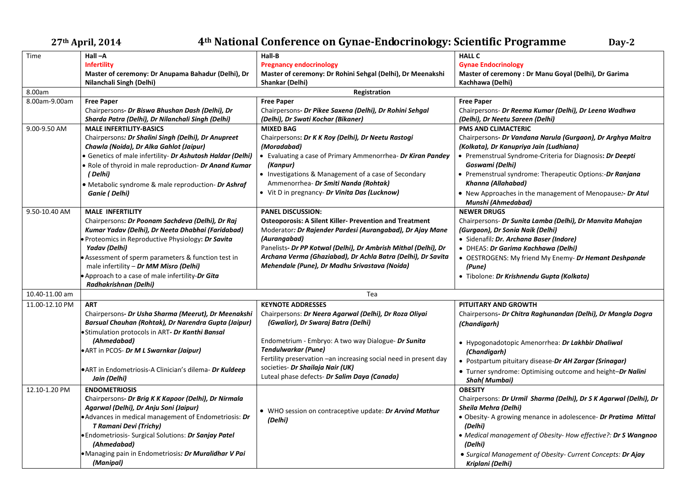## **27th April, 2014 4th National Conference on Gynae-Endocrinology: Scientific Programme Day-2**

| Time           | $Hall -A$                                                  | Hall-B                                                           | <b>HALL C</b>                                                     |  |  |
|----------------|------------------------------------------------------------|------------------------------------------------------------------|-------------------------------------------------------------------|--|--|
|                | <b>Infertility</b>                                         | <b>Pregnancy endocrinology</b>                                   | <b>Gynae Endocrinology</b>                                        |  |  |
|                | Master of ceremony: Dr Anupama Bahadur (Delhi), Dr         | Master of ceremony: Dr Rohini Sehgal (Delhi), Dr Meenakshi       | Master of ceremony: Dr Manu Goyal (Delhi), Dr Garima              |  |  |
|                | Nilanchali Singh (Delhi)                                   | Shankar (Delhi)                                                  | Kachhawa (Delhi)                                                  |  |  |
| 8.00am         | Registration                                               |                                                                  |                                                                   |  |  |
| 8.00am-9.00am  | <b>Free Paper</b>                                          | <b>Free Paper</b>                                                | <b>Free Paper</b>                                                 |  |  |
|                | Chairpersons- Dr Biswa Bhushan Dash (Delhi), Dr            | Chairpersons- Dr Pikee Saxena (Delhi), Dr Rohini Sehgal          | Chairpersons- Dr Reema Kumar (Delhi), Dr Leena Wadhwa             |  |  |
|                | Sharda Patra (Delhi), Dr Nilanchali Singh (Delhi)          | (Delhi), Dr Swati Kochar (Bikaner)                               | (Delhi), Dr Neetu Sareen (Delhi)                                  |  |  |
| 9.00-9.50 AM   | <b>MALE INFERTILITY-BASICS</b>                             | <b>MIXED BAG</b>                                                 | <b>PMS AND CLIMACTERIC</b>                                        |  |  |
|                | Chairpersons: Dr Shalini Singh (Delhi), Dr Anupreet        | Chairpersons: Dr K K Roy (Delhi), Dr Neetu Rastogi               | Chairpersons- Dr Vandana Narula (Gurgaon), Dr Arghya Maitra       |  |  |
|                | Chawla (Noida), Dr Alka Gahlot (Jaipur)                    | (Moradabad)                                                      | (Kolkata), Dr Kanupriya Jain (Ludhiana)                           |  |  |
|                | • Genetics of male infertility- Dr Ashutosh Haldar (Delhi) | • Evaluating a case of Primary Ammenorrhea- Dr Kiran Pandey      | • Premenstrual Syndrome-Criteria for Diagnosis: Dr Deepti         |  |  |
|                | . Role of thyroid in male reproduction- Dr Anand Kumar     | (Kanpur)                                                         | Goswami (Delhi)                                                   |  |  |
|                | (Delhi)                                                    | • Investigations & Management of a case of Secondary             | • Premenstrual syndrome: Therapeutic Options:-Dr Ranjana          |  |  |
|                | • Metabolic syndrome & male reproduction- Dr Ashraf        | Ammenorrhea- Dr Smiti Nanda (Rohtak)                             | Khanna (Allahabad)                                                |  |  |
|                | Ganie (Delhi)                                              | • Vit D in pregnancy- Dr Vinita Das (Lucknow)                    | • New Approaches in the management of Menopause:- Dr Atul         |  |  |
|                |                                                            |                                                                  | Munshi (Ahmedabad)                                                |  |  |
| 9.50-10.40 AM  | <b>MALE INFERTILITY</b>                                    | <b>PANEL DISCUSSION:</b>                                         | <b>NEWER DRUGS</b>                                                |  |  |
|                | Chairpersons: Dr Poonam Sachdeva (Delhi), Dr Raj           | <b>Osteoporosis: A Silent Killer- Prevention and Treatment</b>   | Chairpersons- Dr Sunita Lamba (Delhi), Dr Manvita Mahajan         |  |  |
|                | Kumar Yadav (Delhi), Dr Neeta Dhabhai (Faridabad)          | Moderator: Dr Rajender Pardesi (Aurangabad), Dr Ajay Mane        | (Gurgaon), Dr Sonia Naik (Delhi)                                  |  |  |
|                | Proteomics in Reproductive Physiology: Dr Savita           | (Aurangabad)                                                     | · Sidenafil: Dr. Archana Baser (Indore)                           |  |  |
|                | <b>Yadav</b> (Delhi)                                       | Panelists- Dr PP Kotwal (Delhi), Dr Ambrish Mithal (Delhi), Dr   | • DHEAS: Dr Garima Kachhawa (Delhi)                               |  |  |
|                | Assessment of sperm parameters & function test in          | Archana Verma (Ghaziabad), Dr Achla Batra (Delhi), Dr Savita     | • OESTROGENS: My friend My Enemy- Dr Hemant Deshpande             |  |  |
|                | male infertility - Dr MM Misro (Delhi)                     | Mehendale (Pune), Dr Madhu Srivastava (Noida)                    | (Pune)                                                            |  |  |
|                | . Approach to a case of male infertility-Dr Gita           |                                                                  | · Tibolone: Dr Krishnendu Gupta (Kolkata)                         |  |  |
|                | Radhakrishnan (Delhi)                                      |                                                                  |                                                                   |  |  |
| 10.40-11.00 am |                                                            | Tea                                                              |                                                                   |  |  |
| 11.00-12.10 PM | <b>ART</b>                                                 | <b>KEYNOTE ADDRESSES</b>                                         | PITUITARY AND GROWTH                                              |  |  |
|                | Chairpersons- Dr Usha Sharma (Meerut), Dr Meenakshi        | Chairpersons: Dr Neera Agarwal (Delhi), Dr Roza Oliyai           | Chairpersons- Dr Chitra Raghunandan (Delhi), Dr Mangla Dogra      |  |  |
|                | Barsual Chauhan (Rohtak), Dr Narendra Gupta (Jaipur)       | (Gwalior), Dr Swaraj Batra (Delhi)                               | (Chandigarh)                                                      |  |  |
|                | ·Stimulation protocols in ART- Dr Kanthi Bansal            |                                                                  |                                                                   |  |  |
|                | (Ahmedabad)                                                | Endometrium - Embryo: A two way Dialogue- Dr Sunita              | • Hypogonadotopic Amenorrhea: Dr Lakhbir Dhaliwal                 |  |  |
|                | •ART in PCOS- Dr M L Swarnkar (Jaipur)                     | <b>Tendulwarkar (Pune)</b>                                       | (Chandigarh)                                                      |  |  |
|                |                                                            | Fertility preservation -an increasing social need in present day | • Postpartum pituitary disease-Dr AH Zargar (Srinagar)            |  |  |
|                | • ART in Endometriosis-A Clinician's dilema- Dr Kuldeep    | societies- Dr Shailaja Nair (UK)                                 | • Turner syndrome: Optimising outcome and height-Dr Nalini        |  |  |
|                | Jain (Delhi)                                               | Luteal phase defects- Dr Salim Daya (Canada)                     | Shah(Mumbai)                                                      |  |  |
| 12.10-1.20 PM  | <b>ENDOMETRIOSIS</b>                                       |                                                                  | <b>OBESITY</b>                                                    |  |  |
|                | Chairpersons- Dr Brig K K Kapoor (Delhi), Dr Nirmala       |                                                                  | Chairpersons: Dr Urmil Sharma (Delhi), Dr S K Agarwal (Delhi), Dr |  |  |
|                | Agarwal (Delhi), Dr Anju Soni (Jaipur)                     | • WHO session on contraceptive update: Dr Arvind Mathur          | Sheila Mehra (Delhi)                                              |  |  |
|                | • Advances in medical management of Endometriosis: Dr      | (Delhi)                                                          | • Obesity- A growing menance in adolescence- Dr Pratima Mittal    |  |  |
|                | T Ramani Devi (Trichy)                                     |                                                                  | (Delhi)                                                           |  |  |
|                | · Endometriosis- Surgical Solutions: Dr Sanjay Patel       |                                                                  | • Medical management of Obesity-How effective?: Dr S Wangnoo      |  |  |
|                | (Ahmedabad)                                                |                                                                  | (Delhi)                                                           |  |  |
|                | ·Managing pain in Endometriosis: Dr Muralidhar V Pai       |                                                                  | • Surgical Management of Obesity- Current Concepts: Dr Ajay       |  |  |
|                | (Manipal)                                                  |                                                                  | Kriplani (Delhi)                                                  |  |  |